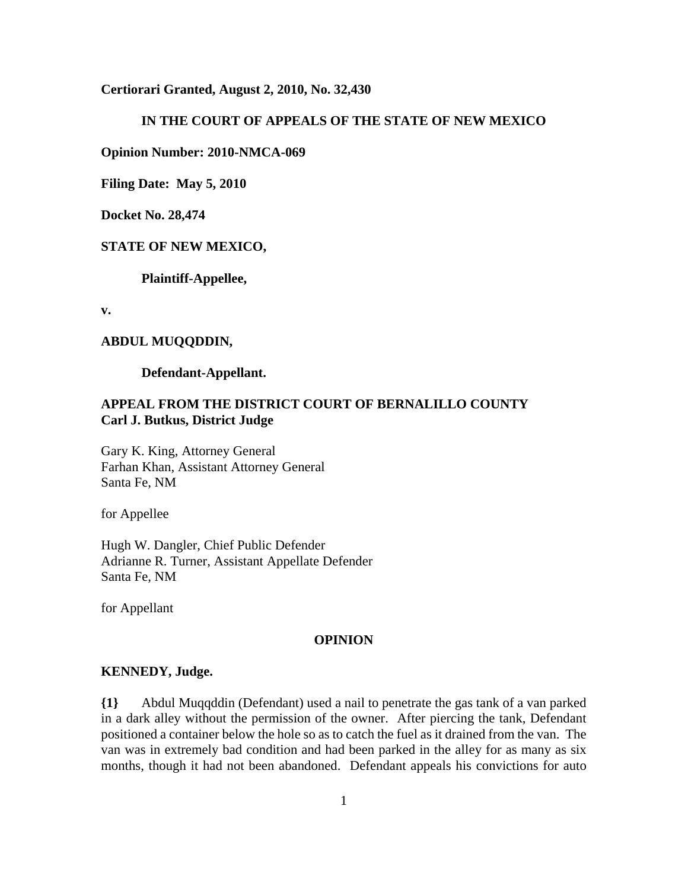**Certiorari Granted, August 2, 2010, No. 32,430**

## **IN THE COURT OF APPEALS OF THE STATE OF NEW MEXICO**

**Opinion Number: 2010-NMCA-069**

**Filing Date: May 5, 2010**

**Docket No. 28,474**

### **STATE OF NEW MEXICO,**

**Plaintiff-Appellee,**

**v.**

#### **ABDUL MUQQDDIN,**

**Defendant-Appellant.**

# **APPEAL FROM THE DISTRICT COURT OF BERNALILLO COUNTY Carl J. Butkus, District Judge**

Gary K. King, Attorney General Farhan Khan, Assistant Attorney General Santa Fe, NM

for Appellee

Hugh W. Dangler, Chief Public Defender Adrianne R. Turner, Assistant Appellate Defender Santa Fe, NM

for Appellant

#### **OPINION**

#### **KENNEDY, Judge.**

**{1}** Abdul Muqqddin (Defendant) used a nail to penetrate the gas tank of a van parked in a dark alley without the permission of the owner. After piercing the tank, Defendant positioned a container below the hole so as to catch the fuel as it drained from the van. The van was in extremely bad condition and had been parked in the alley for as many as six months, though it had not been abandoned. Defendant appeals his convictions for auto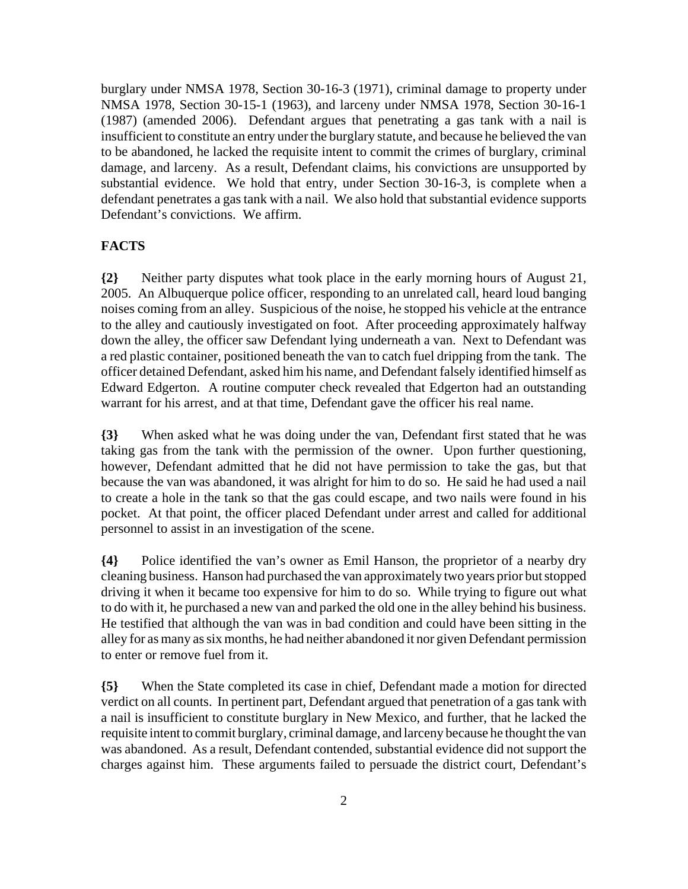burglary under NMSA 1978, Section 30-16-3 (1971), criminal damage to property under NMSA 1978, Section 30-15-1 (1963), and larceny under NMSA 1978, Section 30-16-1 (1987) (amended 2006). Defendant argues that penetrating a gas tank with a nail is insufficient to constitute an entry under the burglary statute, and because he believed the van to be abandoned, he lacked the requisite intent to commit the crimes of burglary, criminal damage, and larceny. As a result, Defendant claims, his convictions are unsupported by substantial evidence. We hold that entry, under Section 30-16-3, is complete when a defendant penetrates a gas tank with a nail. We also hold that substantial evidence supports Defendant's convictions. We affirm.

## **FACTS**

**{2}** Neither party disputes what took place in the early morning hours of August 21, 2005. An Albuquerque police officer, responding to an unrelated call, heard loud banging noises coming from an alley. Suspicious of the noise, he stopped his vehicle at the entrance to the alley and cautiously investigated on foot. After proceeding approximately halfway down the alley, the officer saw Defendant lying underneath a van. Next to Defendant was a red plastic container, positioned beneath the van to catch fuel dripping from the tank. The officer detained Defendant, asked him his name, and Defendant falsely identified himself as Edward Edgerton. A routine computer check revealed that Edgerton had an outstanding warrant for his arrest, and at that time, Defendant gave the officer his real name.

**{3}** When asked what he was doing under the van, Defendant first stated that he was taking gas from the tank with the permission of the owner. Upon further questioning, however, Defendant admitted that he did not have permission to take the gas, but that because the van was abandoned, it was alright for him to do so. He said he had used a nail to create a hole in the tank so that the gas could escape, and two nails were found in his pocket. At that point, the officer placed Defendant under arrest and called for additional personnel to assist in an investigation of the scene.

**{4}** Police identified the van's owner as Emil Hanson, the proprietor of a nearby dry cleaning business. Hanson had purchased the van approximately two years prior but stopped driving it when it became too expensive for him to do so. While trying to figure out what to do with it, he purchased a new van and parked the old one in the alley behind his business. He testified that although the van was in bad condition and could have been sitting in the alley for as many as six months, he had neither abandoned it nor given Defendant permission to enter or remove fuel from it.

**{5}** When the State completed its case in chief, Defendant made a motion for directed verdict on all counts. In pertinent part, Defendant argued that penetration of a gas tank with a nail is insufficient to constitute burglary in New Mexico, and further, that he lacked the requisite intent to commit burglary, criminal damage, and larceny because he thought the van was abandoned. As a result, Defendant contended, substantial evidence did not support the charges against him. These arguments failed to persuade the district court, Defendant's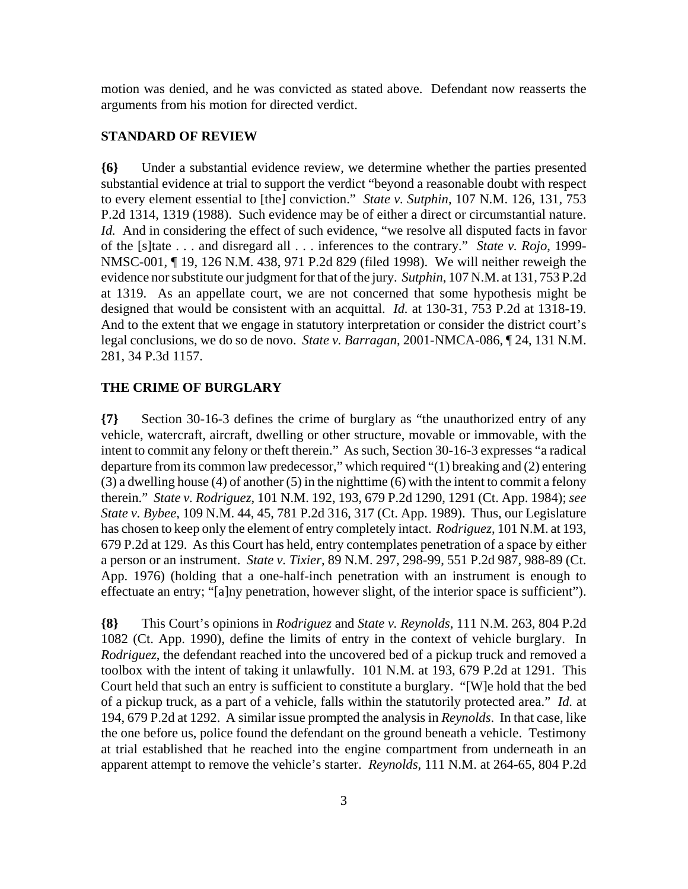motion was denied, and he was convicted as stated above. Defendant now reasserts the arguments from his motion for directed verdict.

#### **STANDARD OF REVIEW**

**{6}** Under a substantial evidence review, we determine whether the parties presented substantial evidence at trial to support the verdict "beyond a reasonable doubt with respect to every element essential to [the] conviction." *State v. Sutphin*, 107 N.M. 126, 131, 753 P.2d 1314, 1319 (1988). Such evidence may be of either a direct or circumstantial nature. *Id.* And in considering the effect of such evidence, "we resolve all disputed facts in favor of the [s]tate . . . and disregard all . . . inferences to the contrary." *State v. Rojo*, 1999- NMSC-001, ¶ 19, 126 N.M. 438, 971 P.2d 829 (filed 1998). We will neither reweigh the evidence nor substitute our judgment for that of the jury. *Sutphin*, 107 N.M. at 131, 753 P.2d at 1319. As an appellate court, we are not concerned that some hypothesis might be designed that would be consistent with an acquittal. *Id.* at 130-31, 753 P.2d at 1318-19. And to the extent that we engage in statutory interpretation or consider the district court's legal conclusions, we do so de novo. *State v. Barragan*, 2001-NMCA-086, ¶ 24, 131 N.M. 281, 34 P.3d 1157.

## **THE CRIME OF BURGLARY**

**{7}** Section 30-16-3 defines the crime of burglary as "the unauthorized entry of any vehicle, watercraft, aircraft, dwelling or other structure, movable or immovable, with the intent to commit any felony or theft therein." As such, Section 30-16-3 expresses "a radical departure from its common law predecessor," which required "(1) breaking and (2) entering (3) a dwelling house (4) of another (5) in the nighttime (6) with the intent to commit a felony therein." *State v. Rodriguez*, 101 N.M. 192, 193, 679 P.2d 1290, 1291 (Ct. App. 1984); *see State v. Bybee*, 109 N.M. 44, 45, 781 P.2d 316, 317 (Ct. App. 1989). Thus, our Legislature has chosen to keep only the element of entry completely intact. *Rodriguez*, 101 N.M. at 193, 679 P.2d at 129. As this Court has held, entry contemplates penetration of a space by either a person or an instrument. *State v. Tixier*, 89 N.M. 297, 298-99, 551 P.2d 987, 988-89 (Ct. App. 1976) (holding that a one-half-inch penetration with an instrument is enough to effectuate an entry; "[a]ny penetration, however slight, of the interior space is sufficient").

**{8}** This Court's opinions in *Rodriguez* and *State v. Reynolds*, 111 N.M. 263, 804 P.2d 1082 (Ct. App. 1990), define the limits of entry in the context of vehicle burglary. In *Rodriguez*, the defendant reached into the uncovered bed of a pickup truck and removed a toolbox with the intent of taking it unlawfully. 101 N.M. at 193, 679 P.2d at 1291. This Court held that such an entry is sufficient to constitute a burglary. "[W]e hold that the bed of a pickup truck, as a part of a vehicle, falls within the statutorily protected area." *Id.* at 194, 679 P.2d at 1292. A similar issue prompted the analysis in *Reynolds*. In that case, like the one before us, police found the defendant on the ground beneath a vehicle. Testimony at trial established that he reached into the engine compartment from underneath in an apparent attempt to remove the vehicle's starter. *Reynolds*, 111 N.M. at 264-65, 804 P.2d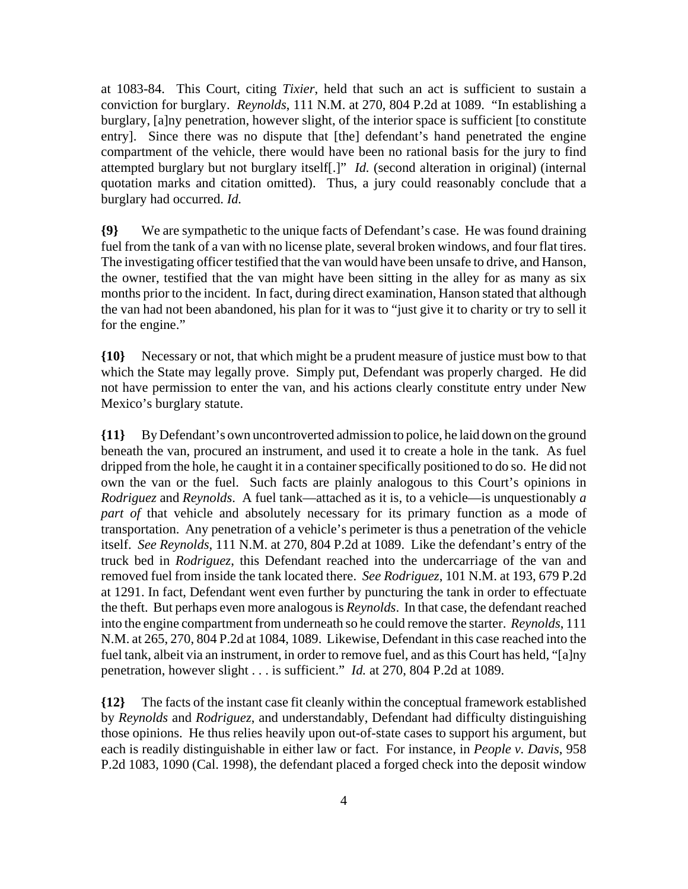at 1083-84. This Court, citing *Tixier*, held that such an act is sufficient to sustain a conviction for burglary. *Reynolds*, 111 N.M. at 270, 804 P.2d at 1089. "In establishing a burglary, [a]ny penetration, however slight, of the interior space is sufficient [to constitute entry]. Since there was no dispute that [the] defendant's hand penetrated the engine compartment of the vehicle, there would have been no rational basis for the jury to find attempted burglary but not burglary itself[.]" *Id.* (second alteration in original) (internal quotation marks and citation omitted). Thus, a jury could reasonably conclude that a burglary had occurred. *Id.*

**{9}** We are sympathetic to the unique facts of Defendant's case. He was found draining fuel from the tank of a van with no license plate, several broken windows, and four flat tires. The investigating officer testified that the van would have been unsafe to drive, and Hanson, the owner, testified that the van might have been sitting in the alley for as many as six months prior to the incident. In fact, during direct examination, Hanson stated that although the van had not been abandoned, his plan for it was to "just give it to charity or try to sell it for the engine."

**{10}** Necessary or not, that which might be a prudent measure of justice must bow to that which the State may legally prove. Simply put, Defendant was properly charged. He did not have permission to enter the van, and his actions clearly constitute entry under New Mexico's burglary statute.

**{11}** By Defendant's own uncontroverted admission to police, he laid down on the ground beneath the van, procured an instrument, and used it to create a hole in the tank. As fuel dripped from the hole, he caught it in a container specifically positioned to do so. He did not own the van or the fuel. Such facts are plainly analogous to this Court's opinions in *Rodriguez* and *Reynolds*. A fuel tank—attached as it is, to a vehicle—is unquestionably *a part of* that vehicle and absolutely necessary for its primary function as a mode of transportation. Any penetration of a vehicle's perimeter is thus a penetration of the vehicle itself. *See Reynolds*, 111 N.M. at 270, 804 P.2d at 1089. Like the defendant's entry of the truck bed in *Rodriguez*, this Defendant reached into the undercarriage of the van and removed fuel from inside the tank located there. *See Rodriguez*, 101 N.M. at 193, 679 P.2d at 1291. In fact, Defendant went even further by puncturing the tank in order to effectuate the theft. But perhaps even more analogous is *Reynolds*. In that case, the defendant reached into the engine compartment from underneath so he could remove the starter. *Reynolds*, 111 N.M. at 265, 270, 804 P.2d at 1084, 1089. Likewise, Defendant in this case reached into the fuel tank, albeit via an instrument, in order to remove fuel, and as this Court has held, "[a]ny penetration, however slight . . . is sufficient." *Id.* at 270, 804 P.2d at 1089.

**{12}** The facts of the instant case fit cleanly within the conceptual framework established by *Reynolds* and *Rodriguez*, and understandably, Defendant had difficulty distinguishing those opinions. He thus relies heavily upon out-of-state cases to support his argument, but each is readily distinguishable in either law or fact. For instance, in *People v. Davis*, 958 P.2d 1083, 1090 (Cal. 1998), the defendant placed a forged check into the deposit window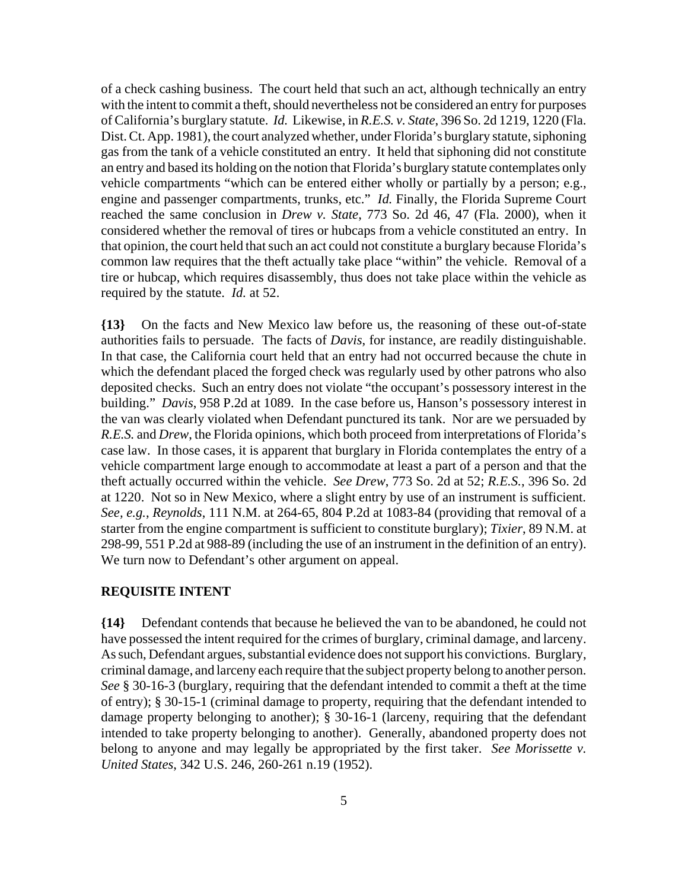of a check cashing business. The court held that such an act, although technically an entry with the intent to commit a theft, should nevertheless not be considered an entry for purposes of California's burglary statute. *Id.* Likewise, in *R.E.S. v. State*, 396 So. 2d 1219, 1220 (Fla. Dist. Ct. App. 1981), the court analyzed whether, under Florida's burglary statute, siphoning gas from the tank of a vehicle constituted an entry. It held that siphoning did not constitute an entry and based its holding on the notion that Florida's burglary statute contemplates only vehicle compartments "which can be entered either wholly or partially by a person; e.g., engine and passenger compartments, trunks, etc." *Id.* Finally, the Florida Supreme Court reached the same conclusion in *Drew v. State*, 773 So. 2d 46, 47 (Fla. 2000), when it considered whether the removal of tires or hubcaps from a vehicle constituted an entry. In that opinion, the court held that such an act could not constitute a burglary because Florida's common law requires that the theft actually take place "within" the vehicle. Removal of a tire or hubcap, which requires disassembly, thus does not take place within the vehicle as required by the statute. *Id.* at 52.

**{13}** On the facts and New Mexico law before us, the reasoning of these out-of-state authorities fails to persuade. The facts of *Davis*, for instance, are readily distinguishable. In that case, the California court held that an entry had not occurred because the chute in which the defendant placed the forged check was regularly used by other patrons who also deposited checks. Such an entry does not violate "the occupant's possessory interest in the building." *Davis*, 958 P.2d at 1089. In the case before us, Hanson's possessory interest in the van was clearly violated when Defendant punctured its tank. Nor are we persuaded by *R.E.S.* and *Drew*, the Florida opinions, which both proceed from interpretations of Florida's case law. In those cases, it is apparent that burglary in Florida contemplates the entry of a vehicle compartment large enough to accommodate at least a part of a person and that the theft actually occurred within the vehicle. *See Drew*, 773 So. 2d at 52; *R.E.S.*, 396 So. 2d at 1220. Not so in New Mexico, where a slight entry by use of an instrument is sufficient. *See, e.g.*, *Reynolds*, 111 N.M. at 264-65, 804 P.2d at 1083-84 (providing that removal of a starter from the engine compartment is sufficient to constitute burglary); *Tixier*, 89 N.M. at 298-99, 551 P.2d at 988-89 (including the use of an instrument in the definition of an entry). We turn now to Defendant's other argument on appeal.

## **REQUISITE INTENT**

**{14}** Defendant contends that because he believed the van to be abandoned, he could not have possessed the intent required for the crimes of burglary, criminal damage, and larceny. As such, Defendant argues, substantial evidence does not support his convictions. Burglary, criminal damage, and larceny each require that the subject property belong to another person. *See* § 30-16-3 (burglary, requiring that the defendant intended to commit a theft at the time of entry); § 30-15-1 (criminal damage to property, requiring that the defendant intended to damage property belonging to another); § 30-16-1 (larceny, requiring that the defendant intended to take property belonging to another). Generally, abandoned property does not belong to anyone and may legally be appropriated by the first taker. *See Morissette v. United States*, 342 U.S. 246, 260-261 n.19 (1952).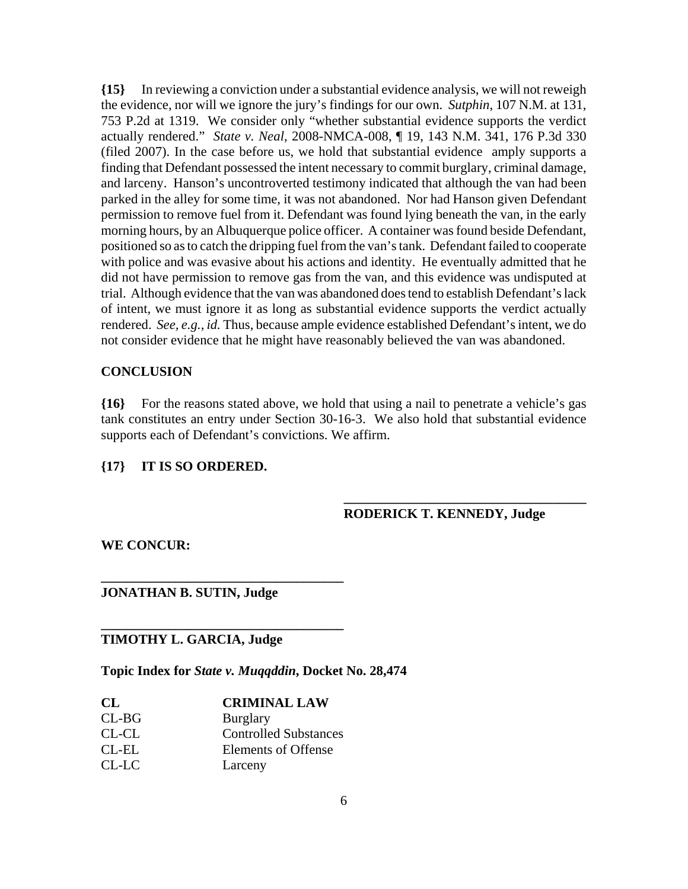**{15}** In reviewing a conviction under a substantial evidence analysis, we will not reweigh the evidence, nor will we ignore the jury's findings for our own. *Sutphin*, 107 N.M. at 131, 753 P.2d at 1319. We consider only "whether substantial evidence supports the verdict actually rendered." *State v. Neal*, 2008-NMCA-008, ¶ 19, 143 N.M. 341, 176 P.3d 330 (filed 2007). In the case before us, we hold that substantial evidence amply supports a finding that Defendant possessed the intent necessary to commit burglary, criminal damage, and larceny. Hanson's uncontroverted testimony indicated that although the van had been parked in the alley for some time, it was not abandoned. Nor had Hanson given Defendant permission to remove fuel from it. Defendant was found lying beneath the van, in the early morning hours, by an Albuquerque police officer. A container was found beside Defendant, positioned so as to catch the dripping fuel from the van's tank. Defendant failed to cooperate with police and was evasive about his actions and identity. He eventually admitted that he did not have permission to remove gas from the van, and this evidence was undisputed at trial. Although evidence that the van was abandoned does tend to establish Defendant's lack of intent, we must ignore it as long as substantial evidence supports the verdict actually rendered. *See, e.g.*, *id.* Thus, because ample evidence established Defendant's intent, we do not consider evidence that he might have reasonably believed the van was abandoned.

## **CONCLUSION**

**{16}** For the reasons stated above, we hold that using a nail to penetrate a vehicle's gas tank constitutes an entry under Section 30-16-3. We also hold that substantial evidence supports each of Defendant's convictions. We affirm.

## **{17} IT IS SO ORDERED.**

# **RODERICK T. KENNEDY, Judge**

**\_\_\_\_\_\_\_\_\_\_\_\_\_\_\_\_\_\_\_\_\_\_\_\_\_\_\_\_\_\_\_\_\_\_\_\_**

**WE CONCUR:**

# **JONATHAN B. SUTIN, Judge**

#### **TIMOTHY L. GARCIA, Judge**

**Topic Index for** *State v. Muqqddin***, Docket No. 28,474** 

| CL      | <b>CRIMINAL LAW</b>          |
|---------|------------------------------|
| $CL-BG$ | <b>Burglary</b>              |
| CL-CL   | <b>Controlled Substances</b> |
| CL-EL   | Elements of Offense          |
| CL-LC   | Larceny                      |

**\_\_\_\_\_\_\_\_\_\_\_\_\_\_\_\_\_\_\_\_\_\_\_\_\_\_\_\_\_\_\_\_\_\_\_\_**

**\_\_\_\_\_\_\_\_\_\_\_\_\_\_\_\_\_\_\_\_\_\_\_\_\_\_\_\_\_\_\_\_\_\_\_\_**